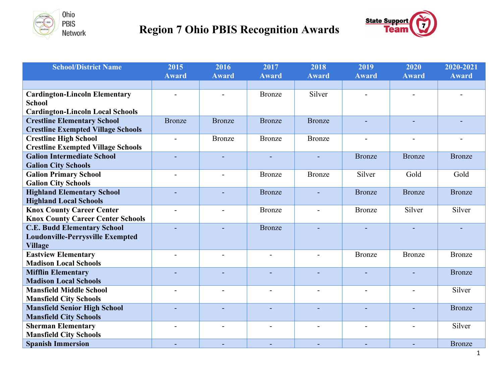

## **<b>Region 7 Ohio PBIS Recognition Awards Region 7 Ohio PBIS Recognition Awards**



| <b>School/District Name</b>                                                    | 2015                     | 2016           | 2017                     | 2018                     | 2019           | 2020           | 2020-2021     |
|--------------------------------------------------------------------------------|--------------------------|----------------|--------------------------|--------------------------|----------------|----------------|---------------|
|                                                                                | <b>Award</b>             | <b>Award</b>   | <b>Award</b>             | <b>Award</b>             | <b>Award</b>   | Award          | <b>Award</b>  |
|                                                                                |                          |                |                          |                          |                |                |               |
| <b>Cardington-Lincoln Elementary</b>                                           |                          |                | <b>Bronze</b>            | Silver                   |                |                |               |
| <b>School</b>                                                                  |                          |                |                          |                          |                |                |               |
| <b>Cardington-Lincoln Local Schools</b>                                        |                          |                |                          |                          |                |                |               |
| <b>Crestline Elementary School</b>                                             | <b>Bronze</b>            | <b>Bronze</b>  | <b>Bronze</b>            | <b>Bronze</b>            |                |                |               |
| <b>Crestline Exempted Village Schools</b>                                      |                          |                |                          |                          |                |                |               |
| <b>Crestline High School</b>                                                   | $\overline{a}$           | <b>Bronze</b>  | <b>Bronze</b>            | <b>Bronze</b>            | $\overline{a}$ |                |               |
| <b>Crestline Exempted Village Schools</b><br><b>Galion Intermediate School</b> |                          |                |                          |                          |                |                |               |
| <b>Galion City Schools</b>                                                     | $\sim$                   | $\overline{a}$ |                          |                          | <b>Bronze</b>  | <b>Bronze</b>  | <b>Bronze</b> |
| <b>Galion Primary School</b>                                                   |                          |                | <b>Bronze</b>            | Bronze                   | Silver         | Gold           | Gold          |
| <b>Galion City Schools</b>                                                     |                          |                |                          |                          |                |                |               |
| <b>Highland Elementary School</b>                                              |                          | $\equiv$       | <b>Bronze</b>            |                          | <b>Bronze</b>  | <b>Bronze</b>  | <b>Bronze</b> |
| <b>Highland Local Schools</b>                                                  |                          |                |                          |                          |                |                |               |
| <b>Knox County Career Center</b>                                               | $\overline{\phantom{a}}$ | $\blacksquare$ | <b>Bronze</b>            | $\overline{\phantom{a}}$ | <b>Bronze</b>  | Silver         | Silver        |
| <b>Knox County Career Center Schools</b>                                       |                          |                |                          |                          |                |                |               |
| <b>C.E. Budd Elementary School</b>                                             |                          |                | <b>Bronze</b>            |                          |                |                |               |
| <b>Loudonville-Perrysville Exempted</b>                                        |                          |                |                          |                          |                |                |               |
| <b>Village</b>                                                                 |                          |                |                          |                          |                |                |               |
| <b>Eastview Elementary</b>                                                     |                          |                |                          |                          | <b>Bronze</b>  | <b>Bronze</b>  | <b>Bronze</b> |
| <b>Madison Local Schools</b>                                                   |                          |                |                          |                          |                |                |               |
| <b>Mifflin Elementary</b>                                                      |                          | ÷              |                          |                          | L.             |                | <b>Bronze</b> |
| <b>Madison Local Schools</b>                                                   |                          |                |                          |                          |                |                |               |
| <b>Mansfield Middle School</b>                                                 |                          | $\overline{a}$ |                          |                          | $\overline{a}$ | $\overline{a}$ | Silver        |
| <b>Mansfield City Schools</b>                                                  |                          |                |                          |                          |                |                |               |
| <b>Mansfield Senior High School</b>                                            |                          |                |                          |                          |                |                | <b>Bronze</b> |
| <b>Mansfield City Schools</b>                                                  |                          |                |                          |                          |                |                | Silver        |
| <b>Sherman Elementary</b><br><b>Mansfield City Schools</b>                     | $\overline{a}$           | $\blacksquare$ | $\overline{\phantom{a}}$ |                          | $\blacksquare$ | $\overline{a}$ |               |
| <b>Spanish Immersion</b>                                                       | $\sim$                   |                |                          | $\sim$                   | $\blacksquare$ |                | <b>Bronze</b> |
|                                                                                |                          | $\blacksquare$ | $\blacksquare$           |                          |                | $\blacksquare$ |               |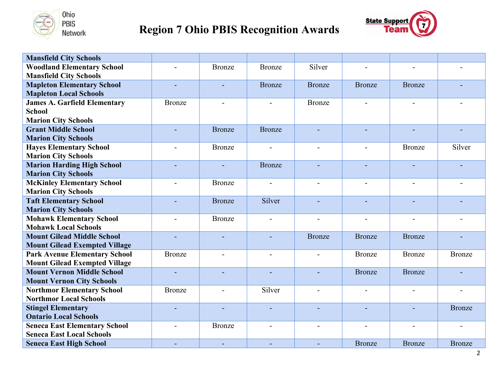

## **<b>Region 7 Ohio PBIS Recognition Awards Region 7 Ohio PBIS Recognition Awards**



| <b>Mansfield City Schools</b>        |               |                |                |               |               |               |               |
|--------------------------------------|---------------|----------------|----------------|---------------|---------------|---------------|---------------|
| <b>Woodland Elementary School</b>    |               | <b>Bronze</b>  | <b>Bronze</b>  | Silver        |               |               |               |
| <b>Mansfield City Schools</b>        |               |                |                |               |               |               |               |
| <b>Mapleton Elementary School</b>    |               |                | <b>Bronze</b>  | <b>Bronze</b> | <b>Bronze</b> | <b>Bronze</b> |               |
| <b>Mapleton Local Schools</b>        |               |                |                |               |               |               |               |
| <b>James A. Garfield Elementary</b>  | Bronze        |                |                | Bronze        |               |               |               |
| <b>School</b>                        |               |                |                |               |               |               |               |
| <b>Marion City Schools</b>           |               |                |                |               |               |               |               |
| <b>Grant Middle School</b>           |               | <b>Bronze</b>  | <b>Bronze</b>  |               |               |               |               |
| <b>Marion City Schools</b>           |               |                |                |               |               |               |               |
| <b>Hayes Elementary School</b>       |               | <b>Bronze</b>  |                |               |               | <b>Bronze</b> | Silver        |
| <b>Marion City Schools</b>           |               |                |                |               |               |               |               |
| <b>Marion Harding High School</b>    |               | $\sim$         | <b>Bronze</b>  |               | ÷,            | ٠             |               |
| <b>Marion City Schools</b>           |               |                |                |               |               |               |               |
| <b>McKinley Elementary School</b>    |               | <b>Bronze</b>  |                |               |               |               |               |
| <b>Marion City Schools</b>           |               |                |                |               |               |               |               |
| <b>Taft Elementary School</b>        |               | <b>Bronze</b>  | Silver         |               | ä,            |               |               |
| <b>Marion City Schools</b>           |               |                |                |               |               |               |               |
| <b>Mohawk Elementary School</b>      |               | <b>Bronze</b>  |                |               |               |               |               |
| <b>Mohawk Local Schools</b>          |               |                |                |               |               |               |               |
| <b>Mount Gilead Middle School</b>    |               | $\sim$         | $\overline{a}$ | <b>Bronze</b> | <b>Bronze</b> | <b>Bronze</b> |               |
| <b>Mount Gilead Exempted Village</b> |               |                |                |               |               |               |               |
| <b>Park Avenue Elementary School</b> | <b>Bronze</b> |                |                |               | <b>Bronze</b> | <b>Bronze</b> | <b>Bronze</b> |
| <b>Mount Gilead Exempted Village</b> |               |                |                |               |               |               |               |
| <b>Mount Vernon Middle School</b>    |               |                |                |               | <b>Bronze</b> | <b>Bronze</b> |               |
| <b>Mount Vernon City Schools</b>     |               |                |                |               |               |               |               |
| <b>Northmor Elementary School</b>    | <b>Bronze</b> |                | Silver         |               |               |               |               |
| <b>Northmor Local Schools</b>        |               |                |                |               |               |               |               |
| <b>Stingel Elementary</b>            |               |                |                |               | ÷,            |               | <b>Bronze</b> |
| <b>Ontario Local Schools</b>         |               |                |                |               |               |               |               |
| <b>Seneca East Elementary School</b> |               | <b>Bronze</b>  |                |               |               |               |               |
| <b>Seneca East Local Schools</b>     |               |                |                |               |               |               |               |
| <b>Seneca East High School</b>       |               | $\blacksquare$ | $\blacksquare$ |               | <b>Bronze</b> | <b>Bronze</b> | <b>Bronze</b> |